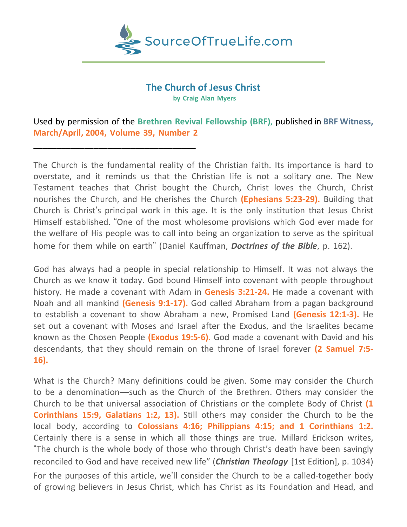

# **The Church of Jesus Christ**

**by Craig Alan Myers**

Used by permission of the **Brethren Revival Fellowship (BRF)**, published in **BRF Witness, March/April, 2004, Volume 39, Number 2**

\_\_\_\_\_\_\_\_\_\_\_\_\_\_\_\_\_\_\_\_\_\_\_\_\_\_\_\_\_\_\_\_\_\_\_

The Church is the fundamental reality of the Christian faith. Its importance is hard to overstate, and it reminds us that the Christian life is not a solitary one. The New Testament teaches that Christ bought the Church, Christ loves the Church, Christ nourishes the Church, and He cherishes the Church **(Ephesians 5:23-29).** Building that Church is Christ's principal work in this age. It is the only institution that Jesus Christ Himself established. "One of the most wholesome provisions which God ever made for the welfare of His people was to call into being an organization to serve as the spiritual home for them while on earth" (Daniel Kauffman, *Doctrines of the Bible*, p. 162).

God has always had a people in special relationship to Himself. It was not always the Church as we know it today. God bound Himself into covenant with people throughout history. He made a covenant with Adam in **Genesis 3:21-24.** He made a covenant with Noah and all mankind **(Genesis 9:1-17).** God called Abraham from a pagan background to establish a covenant to show Abraham a new, Promised Land **(Genesis 12:1-3).** He set out a covenant with Moses and Israel after the Exodus, and the Israelites became known as the Chosen People **(Exodus 19:5-6).** God made a covenant with David and his descendants, that they should remain on the throne of Israel forever **(2 Samuel 7:5- 16).**

What is the Church? Many definitions could be given. Some may consider the Church to be a denomination—such as the Church of the Brethren. Others may consider the Church to be that universal association of Christians or the complete Body of Christ **(1 Corinthians 15:9, Galatians 1:2, 13).** Still others may consider the Church to be the local body, according to **Colossians 4:16; Philippians 4:15; and 1 Corinthians 1:2.** Certainly there is a sense in which all those things are true. Millard Erickson writes, "The church is the whole body of those who through Christ's death have been savingly reconciled to God and have received new life" (*Christian Theology* [1st Edition], p. 1034) For the purposes of this article, we'll consider the Church to be a called-together body of growing believers in Jesus Christ, which has Christ as its Foundation and Head, and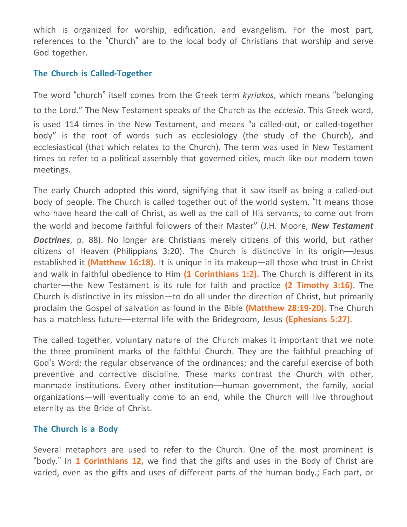which is organized for worship, edification, and evangelism. For the most part, references to the "Church" are to the local body of Christians that worship and serve God together.

## **The Church is Called-Together**

The word "church" itself comes from the Greek term *kyriakos*, which means "belonging to the Lord." The New Testament speaks of the Church as the *ecclesia*. This Greek word, is used 114 times in the New Testament, and means "a called-out, or called-together body" is the root of words such as ecclesiology (the study of the Church), and ecclesiastical (that which relates to the Church). The term was used in New Testament times to refer to a political assembly that governed cities, much like our modern town meetings.

The early Church adopted this word, signifying that it saw itself as being a called-out body of people. The Church is called together out of the world system. "It means those who have heard the call of Christ, as well as the call of His servants, to come out from the world and become faithful followers of their Master" (J.H. Moore, *New Testament Doctrines*, p. 88). No longer are Christians merely citizens of this world, but rather citizens of Heaven (Philippians 3:20). The Church is distinctive in its origin—Jesus established it **(Matthew 16:18).** It is unique in its makeup—all those who trust in Christ and walk in faithful obedience to Him **(1 Corinthians 1:2).** The Church is different in its charter—the New Testament is its rule for faith and practice **(2 Timothy 3:16).** The Church is distinctive in its mission—to do all under the direction of Christ, but primarily proclaim the Gospel of salvation as found in the Bible **(Matthew 28:19-20).** The Church has a matchless future—eternal life with the Bridegroom, Jesus **(Ephesians 5:27).**

The called together, voluntary nature of the Church makes it important that we note the three prominent marks of the faithful Church. They are the faithful preaching of God's Word; the regular observance of the ordinances; and the careful exercise of both preventive and corrective discipline. These marks contrast the Church with other, manmade institutions. Every other institution—human government, the family, social organizations—will eventually come to an end, while the Church will live throughout eternity as the Bride of Christ.

## **The Church is a Body**

Several metaphors are used to refer to the Church. One of the most prominent is "body." In **1 Corinthians 12,** we find that the gifts and uses in the Body of Christ are varied, even as the gifts and uses of different parts of the human body.; Each part, or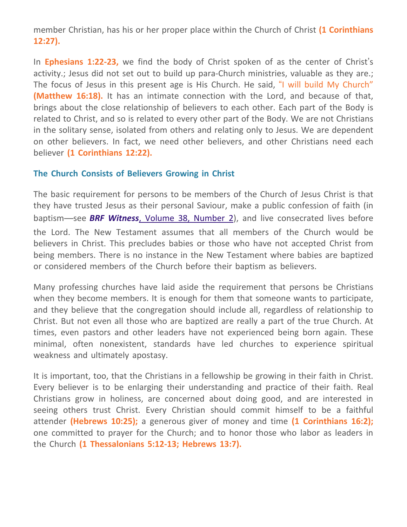member Christian, has his or her proper place within the Church of Christ **(1 Corinthians 12:27).**

In **Ephesians 1:22-23,** we find the body of Christ spoken of as the center of Christ's activity.; Jesus did not set out to build up para-Church ministries, valuable as they are.; The focus of Jesus in this present age is His Church. He said, "I will build My Church" **(Matthew 16:18).** It has an intimate connection with the Lord, and because of that, brings about the close relationship of believers to each other. Each part of the Body is related to Christ, and so is related to every other part of the Body. We are not Christians in the solitary sense, isolated from others and relating only to Jesus. We are dependent on other believers. In fact, we need other believers, and other Christians need each believer **(1 Corinthians 12:22).**

### **The Church Consists of Believers Growing in Christ**

The basic requirement for persons to be members of the Church of Jesus Christ is that they have trusted Jesus as their personal Saviour, make a public confession of faith (in baptism—see *BRF Witness*, Volume 38, [Number](http://www.brfwitness.org/Articles/2003v38n2.htm) 2), and live consecrated lives before the Lord. The New Testament assumes that all members of the Church would be believers in Christ. This precludes babies or those who have not accepted Christ from being members. There is no instance in the New Testament where babies are baptized or considered members of the Church before their baptism as believers.

Many professing churches have laid aside the requirement that persons be Christians when they become members. It is enough for them that someone wants to participate, and they believe that the congregation should include all, regardless of relationship to Christ. But not even all those who are baptized are really a part of the true Church. At times, even pastors and other leaders have not experienced being born again. These minimal, often nonexistent, standards have led churches to experience spiritual weakness and ultimately apostasy.

It is important, too, that the Christians in a fellowship be growing in their faith in Christ. Every believer is to be enlarging their understanding and practice of their faith. Real Christians grow in holiness, are concerned about doing good, and are interested in seeing others trust Christ. Every Christian should commit himself to be a faithful attender **(Hebrews 10:25);** a generous giver of money and time **(1 Corinthians 16:2);** one committed to prayer for the Church; and to honor those who labor as leaders in the Church **(1 Thessalonians 5:12-13; Hebrews 13:7).**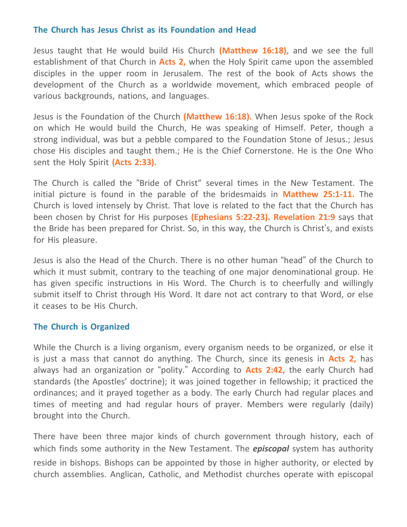## **The Church has Jesus Christ as its Foundation and Head**

Jesus taught that He would build His Church **(Matthew 16:18),** and we see the full establishment of that Church in **Acts 2,** when the Holy Spirit came upon the assembled disciples in the upper room in Jerusalem. The rest of the book of Acts shows the development of the Church as a worldwide movement, which embraced people of various backgrounds, nations, and languages.

Jesus is the Foundation of the Church **(Matthew 16:18).** When Jesus spoke of the Rock on which He would build the Church, He was speaking of Himself. Peter, though a strong individual, was but a pebble compared to the Foundation Stone of Jesus.; Jesus chose His disciples and taught them.; He is the Chief Cornerstone. He is the One Who sent the Holy Spirit **(Acts 2:33).**

The Church is called the "Bride of Christ" several times in the New Testament. The initial picture is found in the parable of the bridesmaids in **Matthew 25:1-11.** The Church is loved intensely by Christ. That love is related to the fact that the Church has been chosen by Christ for His purposes **(Ephesians 5:22-23). Revelation 21:9** says that the Bride has been prepared for Christ. So, in this way, the Church is Christ's, and exists for His pleasure.

Jesus is also the Head of the Church. There is no other human "head" of the Church to which it must submit, contrary to the teaching of one major denominational group. He has given specific instructions in His Word. The Church is to cheerfully and willingly submit itself to Christ through His Word. It dare not act contrary to that Word, or else it ceases to be His Church.

### **The Church is Organized**

While the Church is a living organism, every organism needs to be organized, or else it is just a mass that cannot do anything. The Church, since its genesis in **Acts 2,** has always had an organization or "polity." According to **Acts 2:42,** the early Church had standards (the Apostles' doctrine); it was joined together in fellowship; it practiced the ordinances; and it prayed together as a body. The early Church had regular places and times of meeting and had regular hours of prayer. Members were regularly (daily) brought into the Church.

There have been three major kinds of church government through history, each of which finds some authority in the New Testament. The *episcopal* system has authority reside in bishops. Bishops can be appointed by those in higher authority, or elected by church assemblies. Anglican, Catholic, and Methodist churches operate with episcopal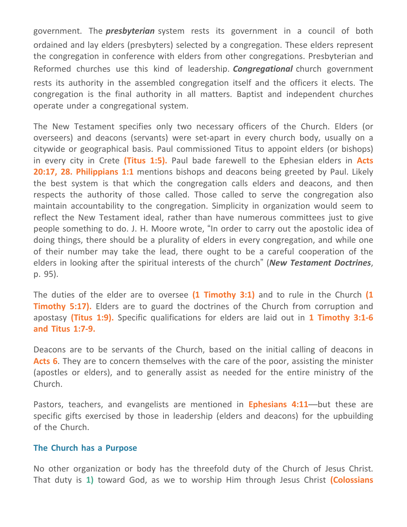government. The *presbyterian* system rests its government in a council of both ordained and lay elders (presbyters) selected by a congregation. These elders represent the congregation in conference with elders from other congregations. Presbyterian and Reformed churches use this kind of leadership. *Congregational* church government rests its authority in the assembled congregation itself and the officers it elects. The congregation is the final authority in all matters. Baptist and independent churches operate under a congregational system.

The New Testament specifies only two necessary officers of the Church. Elders (or overseers) and deacons (servants) were set-apart in every church body, usually on a citywide or geographical basis. Paul commissioned Titus to appoint elders (or bishops) in every city in Crete **(Titus 1:5).** Paul bade farewell to the Ephesian elders in **Acts 20:17, 28. Philippians 1:1** mentions bishops and deacons being greeted by Paul. Likely the best system is that which the congregation calls elders and deacons, and then respects the authority of those called. Those called to serve the congregation also maintain accountability to the congregation. Simplicity in organization would seem to reflect the New Testament ideal, rather than have numerous committees just to give people something to do. J. H. Moore wrote, "In order to carry out the apostolic idea of doing things, there should be a plurality of elders in every congregation, and while one of their number may take the lead, there ought to be a careful cooperation of the elders in looking after the spiritual interests of the church" (*New Testament Doctrines*, p. 95).

The duties of the elder are to oversee **(1 Timothy 3:1)** and to rule in the Church **(1 Timothy 5:17).** Elders are to guard the doctrines of the Church from corruption and apostasy **(Titus 1:9).** Specific qualifications for elders are laid out in **1 Timothy 3:1-6 and Titus 1:7-9.**

Deacons are to be servants of the Church, based on the initial calling of deacons in **Acts 6**. They are to concern themselves with the care of the poor, assisting the minister (apostles or elders), and to generally assist as needed for the entire ministry of the Church.

Pastors, teachers, and evangelists are mentioned in **Ephesians 4:11**—but these are specific gifts exercised by those in leadership (elders and deacons) for the upbuilding of the Church.

#### **The Church has a Purpose**

No other organization or body has the threefold duty of the Church of Jesus Christ. That duty is **1)** toward God, as we to worship Him through Jesus Christ **(Colossians**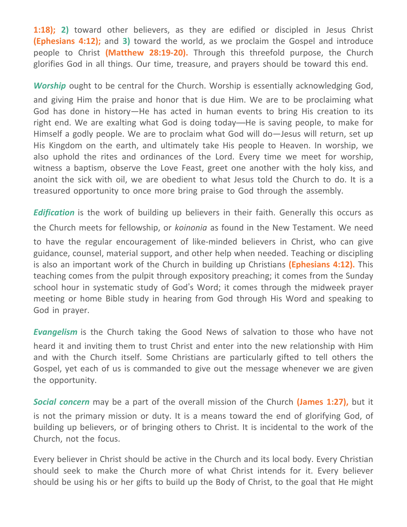**1:18); 2)** toward other believers, as they are edified or discipled in Jesus Christ **(Ephesians 4:12);** and **3)** toward the world, as we proclaim the Gospel and introduce people to Christ **(Matthew 28:19-20).** Through this threefold purpose, the Church glorifies God in all things. Our time, treasure, and prayers should be toward this end.

*Worship* ought to be central for the Church. Worship is essentially acknowledging God, and giving Him the praise and honor that is due Him. We are to be proclaiming what God has done in history—He has acted in human events to bring His creation to its right end. We are exalting what God is doing today—He is saving people, to make for Himself a godly people. We are to proclaim what God will do—Jesus will return, set up His Kingdom on the earth, and ultimately take His people to Heaven. In worship, we also uphold the rites and ordinances of the Lord. Every time we meet for worship, witness a baptism, observe the Love Feast, greet one another with the holy kiss, and anoint the sick with oil, we are obedient to what Jesus told the Church to do. It is a treasured opportunity to once more bring praise to God through the assembly.

*Edification* is the work of building up believers in their faith. Generally this occurs as the Church meets for fellowship, or *koinonia* as found in the New Testament. We need to have the regular encouragement of like-minded believers in Christ, who can give guidance, counsel, material support, and other help when needed. Teaching or discipling is also an important work of the Church in building up Christians **(Ephesians 4:12).** This teaching comes from the pulpit through expository preaching; it comes from the Sunday school hour in systematic study of God's Word; it comes through the midweek prayer meeting or home Bible study in hearing from God through His Word and speaking to God in prayer.

*Evangelism* is the Church taking the Good News of salvation to those who have not heard it and inviting them to trust Christ and enter into the new relationship with Him and with the Church itself. Some Christians are particularly gifted to tell others the Gospel, yet each of us is commanded to give out the message whenever we are given the opportunity.

*Social concern* may be a part of the overall mission of the Church **(James 1:27),** but it is not the primary mission or duty. It is a means toward the end of glorifying God, of building up believers, or of bringing others to Christ. It is incidental to the work of the Church, not the focus.

Every believer in Christ should be active in the Church and its local body. Every Christian should seek to make the Church more of what Christ intends for it. Every believer should be using his or her gifts to build up the Body of Christ, to the goal that He might